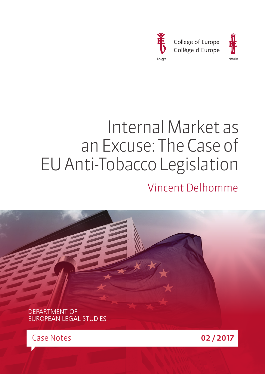



# Internal Market as an Excuse: The Case of EU Anti-Tobacco Legislation Vincent Delhomme

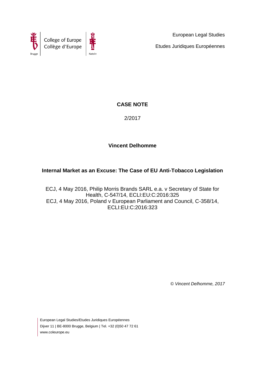



European Legal Studies Etudes Juridiques Européennes

# **CASE NOTE**

2/2017

# **Vincent Delhomme**

# **Internal Market as an Excuse: The Case of EU Anti-Tobacco Legislation**

ECJ, 4 May 2016, Philip Morris Brands SARL e.a. v Secretary of State for Health, C-547/14, ECLI:EU:C:2016:325 ECJ, 4 May 2016, Poland v European Parliament and Council, C-358/14, ECLI:EU:C:2016:323

*© Vincent Delhomme, 2017*

European Legal Studies/Etudes Juridiques Européennes Dijver 11 | BE-8000 Brugge, Belgium | Tel. +32 (0)50 47 72 61 www.coleurope.eu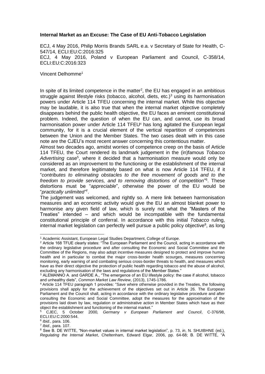#### **Internal Market as an Excuse: The Case of EU Anti-Tobacco Legislation**

ECJ, 4 May 2016, Philip Morris Brands SARL e.a. v Secretary of State for Health, C-547/14, ECLI:EU:C:2016:325 ECJ, 4 May 2016, Poland v European Parliament and Council, C-358/14, ECLI:EU:C:2016:323

Vincent Delhomme<sup>1</sup>

In spite of its limited competence in the matter<sup>2</sup>, the EU has engaged in an ambitious struggle against lifestyle risks (tobacco, alcohol, diets, etc.)<sup>3</sup> using its harmonisation powers under Article 114 TFEU concerning the internal market. While this objective may be laudable, it is also true that when the internal market objective completely disappears behind the public health objective, the EU faces an eminent constitutional problem. Indeed, the question of when the EU can, and cannot, use its broad harmonisation power under Article 114 TFEU<sup>4</sup> has long agitated the European legal community, for it is a crucial element of the vertical repartition of competences between the Union and the Member States. The two cases dealt with in this case note are the CJEU's most recent answer concerning this contentious matter.

Almost two decades ago, amidst worries of competence creep on the basis of Article 114 TFEU, the Court rendered its landmark judgement in the (in)famous *Tobacco*  Advertising case<sup>5</sup>, where it decided that a harmonisation measure would only be considered as an improvement to the functioning or the establishment of the internal market, and therefore legitimately based on what is now Article 114 TFEU, if it "*contributes to eliminating obstacles to the free movement of goods and to the*  freedom to provide services, and to removing distortions of competition<sup>"6</sup>. These distortions must be "*appreciable*", otherwise the power of the EU would be "*practically unlimited"* 7 .

The judgement was welcomed, and rightly so. A mere link between harmonisation measures and an economic activity would give the EU an almost blanket power to harmonise any given field of law, which is surely not what the "Masters of the Treaties" intended – and which would be incompatible with the fundamental constitutional principle of conferral. In accordance with this initial *Tobacco* ruling, internal market legislation can perfectly well pursue a public policy objective<sup>8</sup>, as long

6 *Ibid.*, para. 106.

-

7 *Ibid.*, para. 107.

<sup>1</sup> Academic Assistant, European Legal Studies Department, College of Europe.

<sup>2</sup> Article 168 TFUE clearly states: "The European Parliament and the Council, acting in accordance with the ordinary legislative procedure and after consulting the Economic and Social Committee and the Committee of the Regions, may also adopt incentive measures designed to protect and improve human health and in particular to combat the major cross-border health scourges, measures concerning monitoring, early warning of and combating serious cross-border threats to health, and measures which have as their direct objective the protection of public health regarding tobacco and the abuse of alcohol, excluding any harmonisation of the laws and regulations of the Member States."

<sup>3</sup> ALEMANNO A. and GARDE A., "The emergence of an EU lifestyle policy: the case if alcohol, tobacco and unhealthy diets", *Common Market Law Review*, (2013), 1745-1786.

<sup>4</sup> Article 114 TFEU paragraph 1 provides: "Save where otherwise provided in the Treaties, the following provisions shall apply for the achievement of the objectives set out in Article 26. The European Parliament and the Council shall, acting in accordance with the ordinary legislative procedure and after consulting the Economic and Social Committee, adopt the measures for the approximation of the provisions laid down by law, regulation or administrative action in Member States which have as their object the establishment and functioning of the internal market."

<sup>5</sup> CJEC, 5 October 2000*, Germany v European Parliament and Council*, C-376/98, ECLI:EU:C:2000:544.

<sup>8</sup> See B. DE WITTE, "Non-market values in internal market legislation", p. 73, *in*, N. SHUIBHNE (ed.), *Regulating the Internal Market*, Cheltenham, Edward Elgar, 2006, pp. 64-68; B. DE WITTE, "A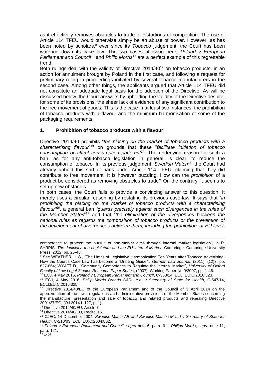as it effectively removes obstacles to trade or distortions of competition. The use of Article 114 TFEU would otherwise simply be an abuse of power. However, as has been noted by scholars, <sup>9</sup> ever since its *Tobacco* judgement, the Court has been watering down its case law. The two cases at issue here, *Poland v European Parliament and Council<sup>10</sup>* and *Philip Morris<sup>11</sup>* are a perfect example of this regrettable trend.

Both rulings deal with the validity of Directive 2014/40<sup>12</sup> on tobacco products, in an action for annulment brought by Poland in the first case, and following a request for preliminary ruling in proceedings initiated by several tobacco manufacturers in the second case. Among other things, the applicants argued that Article 114 TFEU did not constitute an adequate legal basis for the adoption of the Directive. As will be discussed below, the Court answers by upholding the validity of the Directive despite, for some of its provisions, the sheer lack of evidence of any significant contribution to the free movement of goods. This is the case in at least two instances: the prohibition of tobacco products with a flavour and the minimum harmonisation of some of the packaging requirements.

## **1. Prohibition of tobacco products with a flavour**

Directive 2014/40 prohibits "*the placing on the market of tobacco products with a characterising flavour*" <sup>13</sup> on grounds that these "*facilitate initiation of tobacco consumption or affect consumption patterns*" <sup>14</sup>. The underlying reason for such a ban, as for any anti-tobacco legislation in general, is clear: to reduce the consumption of tobacco. In its previous judgement, *Swedish Match*<sup>15</sup>, the Court had already upheld this sort of bans under Article 114 TFEU, claiming that they did contribute to free movement. It is however puzzling. How can the *prohibition* of a product be considered as removing obstacles to trade? On the contrary, it seems to set up new obstacles.

In both cases, the Court fails to provide a convincing answer to this question. It merely uses a circular reasoning by restating its previous case-law. It says that "*in prohibiting the placing on the market of tobacco products with a characterising flavour"<sup>16</sup>*, a general ban *"guards precisely against such divergences in the rules of the Member States*" <sup>17</sup> and that "*the elimination of the divergences between the national rules as regards the composition of tobacco products or the prevention of the development of divergences between them, including the prohibition, at EU level,* 

-

competence to protect: the pursuit of non-market aims through internal market legislation", in P. SYRPIS*, The Judiciary, the Legislature and the EU Internal Market*, Cambridge, Cambridge University Press, 2012, pp. 25-48.

<sup>9</sup> See WEATHERILL S., "The Limits of Legislative Harmonization Ten Years after Tobacco Advertising: How the Court's Case Law has become a "Drafting Guide"", *German Law Journal*, (2011), (12)3, pp. 827-864; WYATT D., "Community Competence to Regulate the Internal Market", *University of Oxford Faculty of Law Legal Studies Research Paper Series*, (2007), Working Paper No 9/2007, pp. 1-46.

<sup>10</sup> ECJ, 4 May 2016, *Poland v European Parliament and Council*, C-358/14, ECLI:EU:C:2016:323.

<sup>11</sup> ECJ, 4 May 2016, *Philip Morris Brands SARL e.a. v Secretary of State for Health*, C-547/14, ECLI:EU:C:2016:325.

<sup>12</sup> Directive 2014/40/EU of the European Parliament and of the Council of 3 April 2014 on the approximation of the laws, regulations and administrative provisions of the Member States concerning the manufacture, presentation and sale of tobacco and related products and repealing Directive 2001/37/EC, (OJ 2014 L 127, p. 1).

<sup>13</sup> Directive 2014/40/EU, Article 7.

<sup>14</sup> Directive 2014/40/EU, Recital 15.

<sup>15</sup> CJEC, 14 December 2004, *Swedish Match AB and Swedish Match UK Ltd v Secretary of State for Health*, C-210/03, ECLI:EU:C:2004:802.

<sup>16</sup> *Poland v European Parliament and Council*, *supra* note 6, para. 61.; *Philipp Morris*, *supra* note 11, para. 121. <sup>17</sup> *Ibid.*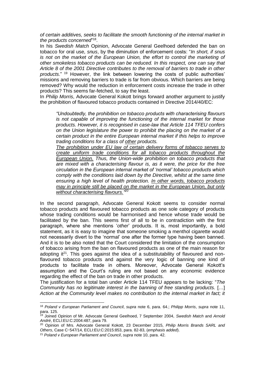*of certain additives, seeks to facilitate the smooth functioning of the internal market in*  the products concerned"<sup>18</sup>.

In his *Swedish Match* Opinion, Advocate General Geelhoed defended the ban on tobacco for oral use, *snus*, by the diminution of enforcement costs: "*In short, if snus is not on the market of the European Union, the effort to control the marketing of other smokeless tobacco products can be reduced. In this respect, one can say that Article 8 of the 2001 Directive contributes to the removal of barriers to trade in other products*." <sup>19</sup> However, the link between lowering the costs of public authorities' missions and removing barriers to trade is far from obvious. Which barriers are being removed? Why would the reduction in enforcement costs increase the trade in other products? This seems far-fetched, to say the least.

In *Philip Morris*, Advocate General Kokott brings forward another argument to justify the prohibition of flavoured tobacco products contained in Directive 2014/40/EC:

*"Undoubtedly, the prohibition on tobacco products with characterising flavours is not capable of improving the functioning of the internal market for those products. However, it is recognised in case-law that Article 114 TFEU confers on the Union legislature the power to prohibit the placing on the market of a certain product in the entire European internal market if this helps to improve trading conditions for a class of other products.*

*The prohibition under EU law of certain delivery forms of tobacco serves to create uniform trade conditions for all tobacco products throughout the European Union. Thus, the Union-wide prohibition on tobacco products that are mixed with a characterising flavour is, as it were, the price for the free circulation in the European internal market of 'normal' tobacco products which comply with the conditions laid down by the Directive, whilst at the same time ensuring a high level of health protection. In other words, tobacco products may in principle still be placed on the market in the European Union, but only without characterising flavours." 20*

In the second paragraph, Advocate General Kokott seems to consider normal tobacco products and flavoured tobacco products as one sole category of products whose trading conditions would be harmonised and hence whose trade would be facilitated by the ban. This seems first of all to be in contradiction with the first paragraph, where she mentions '*other*' products. It is, most importantly, a bold statement, as it is easy to imagine that someone smoking a menthol cigarette would not necessarily divert to the 'normal' one after the former type having been banned. And it is to be also noted that the Court considered the limitation of the consumption of tobacco arising from the ban on flavoured products as one of the main reason for adopting it<sup>21</sup>. This goes against the idea of a substitutability of flavoured and nonflavoured tobacco products and against the very logic of banning one kind of products to facilitate trade in others. Moreover, Advocate General Kokott's assumption and the Court's ruling are not based on any economic evidence regarding the effect of the ban on trade in other products.

The justification for a total ban under Article 114 TFEU appears to be lacking: "*The Community has no legitimate interest in the banning of free standing products.* […] *Action at the Community level makes no contribution to the internal market in fact; it* 

 $\overline{a}$ 

<sup>18</sup> *Poland v European Parliament and Council*, *supra* note 6, para. 64.; *Philipp Morris*, *supra* note 11, para. 125.

<sup>19</sup> Joined Opinion of Mr. Advocate General Geelhoed, 7 September 2004, *Swedish Match* and *Arnold André*, ECLI:EU:C:2004:487, para 79.

<sup>20</sup> Opinion of Mrs. Advocate General Kokott, 23 December 2015, *Philip Morris Brands SARL and Others*, Case C-547/14, ECLI:EU:C:2015:853, para. 82-83, (*emphasis added*).

<sup>21</sup> *Poland v European Parliament and Council*, *supra* note 10, para. 42.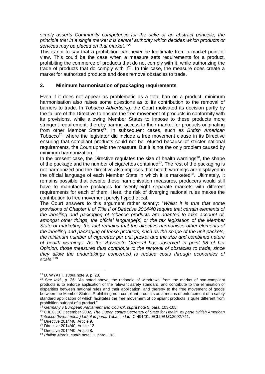*simply asserts Community competence for the sake of an abstract principle; the principle that in a single market it is central authority which decides which products or services may be placed on that market.* " 22

This is not to say that a prohibition can never be legitimate from a market point of view. This could be the case when a measure sets requirements for a product, prohibiting the commerce of products that do not comply with it, while authorizing the trade of products that do comply with  $i<sup>23</sup>$ . In this case, the measure does create a market for authorized products and does remove obstacles to trade.

## **2. Minimum harmonisation of packaging requirements**

Even if it does not appear as problematic as a total ban on a product, minimum harmonisation also raises some questions as to its contribution to the removal of barriers to trade. In *Tobacco Advertising*, the Court motivated its decision partly by the failure of the Directive to ensure the free movement of products in conformity with its provisions, while allowing Member States to impose to these products more stringent requirement, thereby barring access to their market for products originating from other Member States<sup>24</sup>. In subsequent cases, such as *British American Tobacco<sup>25</sup>*, where the legislator did include a free movement clause in its Directive ensuring that compliant products could not be refused because of stricter national requirements, the Court upheld the measure. But it is not the only problem caused by minimum harmonization.

In the present case, the Directive regulates the size of health warnings $^{26}$ , the shape of the package and the number of cigarettes contained<sup>27</sup>. The rest of the packaging is not harmonized and the Directive also imposes that health warnings are displayed in the official language of each Member State in which it is marketed<sup>28</sup>. Ultimately, it remains possible that despite these harmonisation measures, producers would still have to manufacture packages for twenty-eight separate markets with different requirements for each of them. Here, the risk of diverging national rules makes the contribution to free movement purely hypothetical.

The Court answers to this argument rather scantly: "*Whilst it is true that some provisions of Chapter II of Title II of Directive 2014/40 require that certain elements of the labelling and packaging of tobacco products are adapted to take account of, amongst other things, the official language(s) or the tax legislation of the Member State of marketing, the fact remains that the directive harmonises other elements of the labelling and packaging of those products, such as the shape of the unit packets, the minimum number of cigarettes per unit packet and the size and combined nature of health warnings. As the Advocate General has observed in point 98 of her Opinion, those measures thus contribute to the removal of obstacles to trade, since they allow the undertakings concerned to reduce costs through economies of scale.*" 29

-

<sup>22</sup> D. WYATT, *supra* note 9, p. 28.

<sup>23</sup> See *Ibid.*, p. 25: "As noted above, the rationale of withdrawal from the market of non-compliant products is to enforce application of the relevant safety standard, and contribute to the elimination of disparities between national rules and their application, and thereby to the free movement of goods between the Member States. Prohibiting non-compliant products as a means of enforcement of a safety standard application of which facilitates the free movement of compliant products is quite different from prohibition outright of a product."

<sup>24</sup> *Germany v European Parliament and Council*, *supra* note 5, para. 103-105.

<sup>25</sup> CJEC, 10 December 2002, *The Queen contre Secretary of State for Health, ex parte British American Tobacco (Investments) Ltd et Imperial Tobacco Ltd*, C-491/01, ECLI:EU:C:2002:741.

<sup>26</sup> Directive 2014/40, Article 9.

<sup>27</sup> Directive 2014/40, Article 13.

<sup>28</sup> Directive 2014/40, Article 8.

<sup>29</sup> *Philipp Morris*, *supra* note 11, para. 103.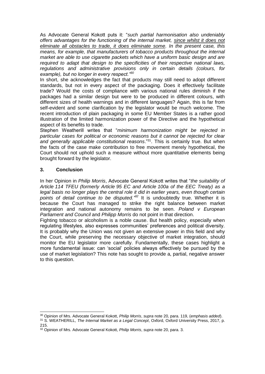As Advocate General Kokott puts it: "*such partial harmonisation also undeniably offers advantages for the functioning of the internal market, since whilst it does not eliminate all obstacles to trade, it does eliminate some. In the present case, this means, for example, that manufacturers of tobacco products throughout the internal market are able to use cigarette packets which have a uniform basic design and are required to adapt that design to the specificities of their respective national laws, regulations and administrative provisions only in certain details (colours, for example), but no longer in every respect."<sup>30</sup>*

In short, she acknowledges the fact that products may still need to adopt different standards, but not in every aspect of the packaging. Does it effectively facilitate trade? Would the costs of compliance with various national rules diminish if the packages had a similar design but were to be produced in different colours, with different sizes of health warnings and in different languages? Again, this is far from self-evident and some clarification by the legislator would be much welcome. The recent introduction of plain packaging in some EU Member States is a rather good illustration of the limited harmonization power of the Directive and the hypothetical aspect of its benefits to trade.

Stephen Weatherill writes that "*minimum harmonization might be rejected in particular cases for political or economic reasons but it cannot be rejected for clear and generally applicable constitutional reasons*."<sup>31</sup>. This is certainly true. But when the facts of the case make contribution to free movement merely hypothetical, the Court should not uphold such a measure without more quantitative elements being brought forward by the legislator.

## **3. Conclusion**

In her Opinion in *Philip Morris*, Advocate General Kokott writes that "*the suitability of Article 114 TFEU (formerly Article 95 EC and Article 100a of the EEC Treaty) as a legal basis no longer plays the central role it did in earlier years, even though certain points of detail continue to be disputed." <sup>32</sup>* It is undoubtedly true. Whether it is because the Court has managed to strike the right balance between market integration and national autonomy remains to be seen. *Poland v European Parliament and Council* and *Philipp Morris* do not point in that direction.

Fighting tobacco or alcoholism is a noble cause. But health policy, especially when regulating lifestyles, also expresses communities' preferences and political diversity. It is probably why the Union was not given an extensive power in this field and why the Court, while preserving the necessary objective of market integration, should monitor the EU legislator more carefully. Fundamentally, these cases highlight a more fundamental issue: can 'social' policies always effectively be pursued by the use of market legislation? This note has sought to provide a, partial, negative answer to this question.

<sup>-</sup><sup>30</sup> Opinion of Mrs. Advocate General Kokott, *Philip Morris*, *supra* note 20, para. 119, (*emphasis added*).

<sup>31</sup> S. WEATHERILL, *The Internal Market as a Legal Concept*, Oxford, Oxford University Press, 2017, p. 215.

<sup>32</sup> Opinion of Mrs. Advocate General Kokott, *Philip Morris*, *supra* note 20, para. 3.